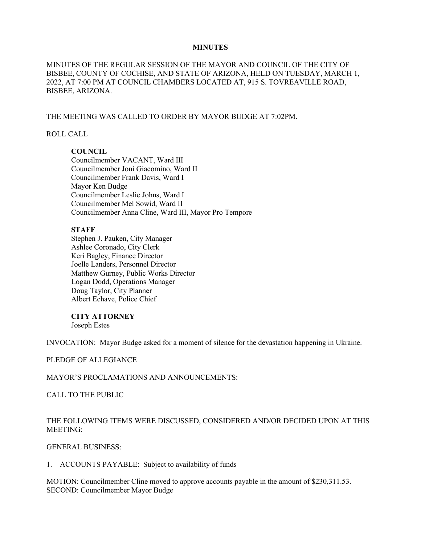### **MINUTES**

MINUTES OF THE REGULAR SESSION OF THE MAYOR AND COUNCIL OF THE CITY OF BISBEE, COUNTY OF COCHISE, AND STATE OF ARIZONA, HELD ON TUESDAY, MARCH 1, 2022, AT 7:00 PM AT COUNCIL CHAMBERS LOCATED AT, 915 S. TOVREAVILLE ROAD, BISBEE, ARIZONA.

#### THE MEETING WAS CALLED TO ORDER BY MAYOR BUDGE AT 7:02PM.

### ROLL CALL

## **COUNCIL**

Councilmember VACANT, Ward III Councilmember Joni Giacomino, Ward II Councilmember Frank Davis, Ward I Mayor Ken Budge Councilmember Leslie Johns, Ward I Councilmember Mel Sowid, Ward II Councilmember Anna Cline, Ward III, Mayor Pro Tempore

### **STAFF**

Stephen J. Pauken, City Manager Ashlee Coronado, City Clerk Keri Bagley, Finance Director Joelle Landers, Personnel Director Matthew Gurney, Public Works Director Logan Dodd, Operations Manager Doug Taylor, City Planner Albert Echave, Police Chief

#### **CITY ATTORNEY**

Joseph Estes

INVOCATION: Mayor Budge asked for a moment of silence for the devastation happening in Ukraine.

#### PLEDGE OF ALLEGIANCE

#### MAYOR'S PROCLAMATIONS AND ANNOUNCEMENTS:

CALL TO THE PUBLIC

## THE FOLLOWING ITEMS WERE DISCUSSED, CONSIDERED AND/OR DECIDED UPON AT THIS MEETING:

### GENERAL BUSINESS:

1. ACCOUNTS PAYABLE: Subject to availability of funds

MOTION: Councilmember Cline moved to approve accounts payable in the amount of \$230,311.53. SECOND: Councilmember Mayor Budge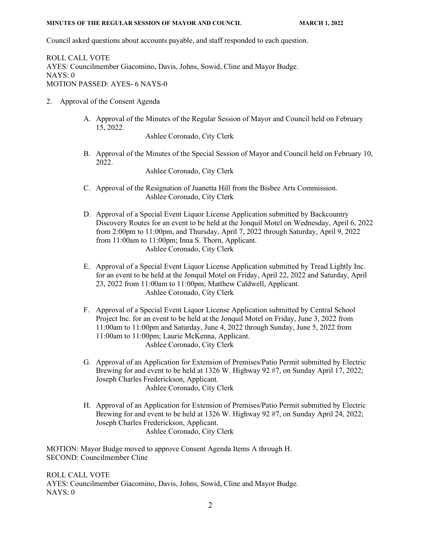Council asked questions about accounts payable, and staff responded to each question.

ROLL CALL VOTE AYES: Councilmember Giacomino, Davis, Johns, Sowid, Cline and Mayor Budge. NAYS: 0 MOTION PASSED: AYES- 6 NAYS-0

- 2. Approval of the Consent Agenda
	- A. Approval of the Minutes of the Regular Session of Mayor and Council held on February 15, 2022.

Ashlee Coronado, City Clerk

B. Approval of the Minutes of the Special Session of Mayor and Council held on February 10, 2022.

Ashlee Coronado, City Clerk

- C. Approval of the Resignation of Juanetta Hill from the Bisbee Arts Commission. Ashlee Coronado, City Clerk
- D. Approval of a Special Event Liquor License Application submitted by Backcountry Discovery Routes for an event to be held at the Jonquil Motel on Wednesday, April 6, 2022 from 2:00pm to 11:00pm, and Thursday, April 7, 2022 through Saturday, April 9, 2022 from 11:00am to 11:00pm; Inna S. Thorn, Applicant. Ashlee Coronado, City Clerk
- E. Approval of a Special Event Liquor License Application submitted by Tread Lightly Inc. for an event to be held at the Jonquil Motel on Friday, April 22, 2022 and Saturday, April 23, 2022 from 11:00am to 11:00pm; Matthew Caldwell, Applicant. Ashlee Coronado, City Clerk
- F. Approval of a Special Event Liquor License Application submitted by Central School Project Inc. for an event to be held at the Jonquil Motel on Friday, June 3, 2022 from 11:00am to 11:00pm and Saturday, June 4, 2022 through Sunday, June 5, 2022 from 11:00am to 11:00pm; Laurie McKenna, Applicant. Ashlee Coronado, City Clerk
- G. Approval of an Application for Extension of Premises/Patio Permit submitted by Electric Brewing for and event to be held at 1326 W. Highway 92 #7, on Sunday April 17, 2022; Joseph Charles Frederickson, Applicant. Ashlee Coronado, City Clerk
- H. Approval of an Application for Extension of Premises/Patio Permit submitted by Electric Brewing for and event to be held at 1326 W. Highway 92 #7, on Sunday April 24, 2022; Joseph Charles Frederickson, Applicant. Ashlee Coronado, City Clerk

MOTION: Mayor Budge moved to approve Consent Agenda Items A through H. SECOND: Councilmember Cline

ROLL CALL VOTE AYES: Councilmember Giacomino, Davis, Johns, Sowid, Cline and Mayor Budge. NAYS: 0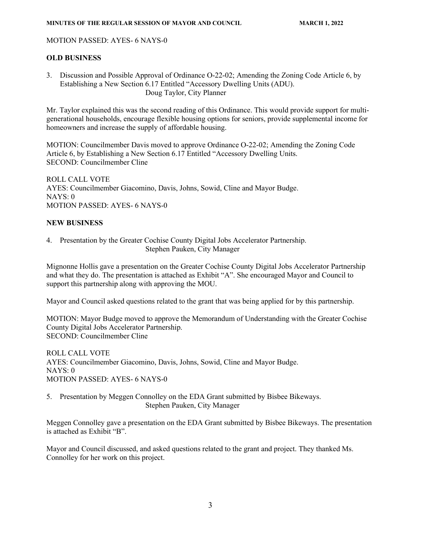### MOTION PASSED: AYES- 6 NAYS-0

## **OLD BUSINESS**

3. Discussion and Possible Approval of Ordinance O-22-02; Amending the Zoning Code Article 6, by Establishing a New Section 6.17 Entitled "Accessory Dwelling Units (ADU). Doug Taylor, City Planner

Mr. Taylor explained this was the second reading of this Ordinance. This would provide support for multigenerational households, encourage flexible housing options for seniors, provide supplemental income for homeowners and increase the supply of affordable housing.

MOTION: Councilmember Davis moved to approve Ordinance O-22-02; Amending the Zoning Code Article 6, by Establishing a New Section 6.17 Entitled "Accessory Dwelling Units. SECOND: Councilmember Cline

ROLL CALL VOTE AYES: Councilmember Giacomino, Davis, Johns, Sowid, Cline and Mayor Budge. NAYS: 0 MOTION PASSED: AYES- 6 NAYS-0

# **NEW BUSINESS**

4. Presentation by the Greater Cochise County Digital Jobs Accelerator Partnership. Stephen Pauken, City Manager

Mignonne Hollis gave a presentation on the Greater Cochise County Digital Jobs Accelerator Partnership and what they do. The presentation is attached as Exhibit "A". She encouraged Mayor and Council to support this partnership along with approving the MOU.

Mayor and Council asked questions related to the grant that was being applied for by this partnership.

MOTION: Mayor Budge moved to approve the Memorandum of Understanding with the Greater Cochise County Digital Jobs Accelerator Partnership. SECOND: Councilmember Cline

ROLL CALL VOTE AYES: Councilmember Giacomino, Davis, Johns, Sowid, Cline and Mayor Budge. NAYS: 0 MOTION PASSED: AYES- 6 NAYS-0

5. Presentation by Meggen Connolley on the EDA Grant submitted by Bisbee Bikeways. Stephen Pauken, City Manager

Meggen Connolley gave a presentation on the EDA Grant submitted by Bisbee Bikeways. The presentation is attached as Exhibit "B".

Mayor and Council discussed, and asked questions related to the grant and project. They thanked Ms. Connolley for her work on this project.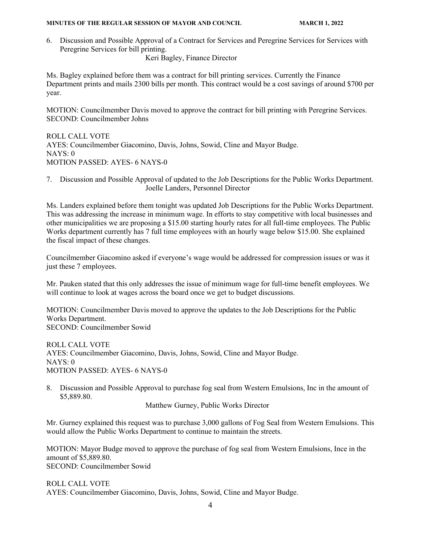6. Discussion and Possible Approval of a Contract for Services and Peregrine Services for Services with Peregrine Services for bill printing.

Keri Bagley, Finance Director

Ms. Bagley explained before them was a contract for bill printing services. Currently the Finance Department prints and mails 2300 bills per month. This contract would be a cost savings of around \$700 per year.

MOTION: Councilmember Davis moved to approve the contract for bill printing with Peregrine Services. SECOND: Councilmember Johns

ROLL CALL VOTE AYES: Councilmember Giacomino, Davis, Johns, Sowid, Cline and Mayor Budge. NAYS: 0 MOTION PASSED: AYES- 6 NAYS-0

7. Discussion and Possible Approval of updated to the Job Descriptions for the Public Works Department. Joelle Landers, Personnel Director

Ms. Landers explained before them tonight was updated Job Descriptions for the Public Works Department. This was addressing the increase in minimum wage. In efforts to stay competitive with local businesses and other municipalities we are proposing a \$15.00 starting hourly rates for all full-time employees. The Public Works department currently has 7 full time employees with an hourly wage below \$15.00. She explained the fiscal impact of these changes.

Councilmember Giacomino asked if everyone's wage would be addressed for compression issues or was it just these 7 employees.

Mr. Pauken stated that this only addresses the issue of minimum wage for full-time benefit employees. We will continue to look at wages across the board once we get to budget discussions.

MOTION: Councilmember Davis moved to approve the updates to the Job Descriptions for the Public Works Department. SECOND: Councilmember Sowid

ROLL CALL VOTE AYES: Councilmember Giacomino, Davis, Johns, Sowid, Cline and Mayor Budge. NAYS: 0 MOTION PASSED: AYES- 6 NAYS-0

8. Discussion and Possible Approval to purchase fog seal from Western Emulsions, Inc in the amount of \$5,889.80.

Matthew Gurney, Public Works Director

Mr. Gurney explained this request was to purchase 3,000 gallons of Fog Seal from Western Emulsions. This would allow the Public Works Department to continue to maintain the streets.

MOTION: Mayor Budge moved to approve the purchase of fog seal from Western Emulsions, Ince in the amount of \$5,889.80.

SECOND: Councilmember Sowid

ROLL CALL VOTE AYES: Councilmember Giacomino, Davis, Johns, Sowid, Cline and Mayor Budge.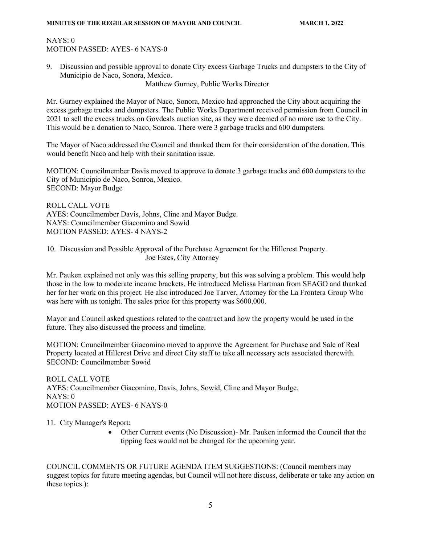## NAYS: 0 MOTION PASSED: AYES- 6 NAYS-0

9. Discussion and possible approval to donate City excess Garbage Trucks and dumpsters to the City of Municipio de Naco, Sonora, Mexico.

Matthew Gurney, Public Works Director

Mr. Gurney explained the Mayor of Naco, Sonora, Mexico had approached the City about acquiring the excess garbage trucks and dumpsters. The Public Works Department received permission from Council in 2021 to sell the excess trucks on Govdeals auction site, as they were deemed of no more use to the City. This would be a donation to Naco, Sonroa. There were 3 garbage trucks and 600 dumpsters.

The Mayor of Naco addressed the Council and thanked them for their consideration of the donation. This would benefit Naco and help with their sanitation issue.

MOTION: Councilmember Davis moved to approve to donate 3 garbage trucks and 600 dumpsters to the City of Municipio de Naco, Sonroa, Mexico. SECOND: Mayor Budge

ROLL CALL VOTE AYES: Councilmember Davis, Johns, Cline and Mayor Budge. NAYS: Councilmember Giacomino and Sowid MOTION PASSED: AYES- 4 NAYS-2

10. Discussion and Possible Approval of the Purchase Agreement for the Hillcrest Property. Joe Estes, City Attorney

Mr. Pauken explained not only was this selling property, but this was solving a problem. This would help those in the low to moderate income brackets. He introduced Melissa Hartman from SEAGO and thanked her for her work on this project. He also introduced Joe Tarver, Attorney for the La Frontera Group Who was here with us tonight. The sales price for this property was \$600,000.

Mayor and Council asked questions related to the contract and how the property would be used in the future. They also discussed the process and timeline.

MOTION: Councilmember Giacomino moved to approve the Agreement for Purchase and Sale of Real Property located at Hillcrest Drive and direct City staff to take all necessary acts associated therewith. SECOND: Councilmember Sowid

ROLL CALL VOTE AYES: Councilmember Giacomino, Davis, Johns, Sowid, Cline and Mayor Budge. NAYS: 0 MOTION PASSED: AYES- 6 NAYS-0

11. City Manager's Report:

• Other Current events (No Discussion)- Mr. Pauken informed the Council that the tipping fees would not be changed for the upcoming year.

COUNCIL COMMENTS OR FUTURE AGENDA ITEM SUGGESTIONS: (Council members may suggest topics for future meeting agendas, but Council will not here discuss, deliberate or take any action on these topics.):